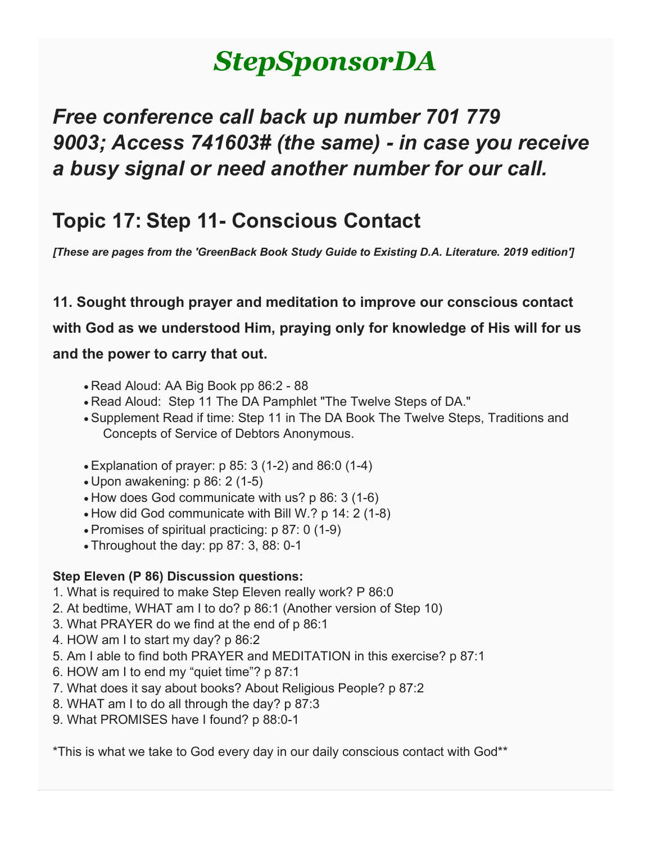# *StepSponsorDA*

## *Free conference call back up number 701 779 9003; Access 741603# (the same) - in case you receive a busy signal or need another number for our call.*

### **Topic 17: Step 11- Conscious Contact**

*[These are pages from the 'GreenBack Book Study Guide to Existing D.A. Literature. 2019 edition']*

### **11. Sought through prayer and meditation to improve our conscious contact with God as we understood Him, praying only for knowledge of His will for us and the power to carry that out.**

- Read Aloud: AA Big Book pp 86:2 88
- Read Aloud: Step 11 The DA Pamphlet "The Twelve Steps of DA."
- Supplement Read if time: Step 11 in The DA Book The Twelve Steps, Traditions and Concepts of Service of Debtors Anonymous.
- Explanation of prayer: p 85: 3 (1-2) and 86:0 (1-4)
- Upon awakening: p 86: 2 (1-5)
- How does God communicate with us? p 86: 3 (1-6)
- How did God communicate with Bill W.? p 14: 2 (1-8)
- Promises of spiritual practicing: p 87: 0 (1-9)
- Throughout the day: pp 87: 3, 88: 0-1

#### **Step Eleven (P 86) Discussion questions:**

- 1. What is required to make Step Eleven really work? P 86:0
- 2. At bedtime, WHAT am I to do? p 86:1 (Another version of Step 10)
- 3. What PRAYER do we find at the end of p 86:1
- 4. HOW am I to start my day? p 86:2
- 5. Am I able to find both PRAYER and MEDITATION in this exercise? p 87:1
- 6. HOW am I to end my "quiet time"? p 87:1
- 7. What does it say about books? About Religious People? p 87:2
- 8. WHAT am I to do all through the day? p 87:3
- 9. What PROMISES have I found? p 88:0-1

\*This is what we take to God every day in our daily conscious contact with God\*\*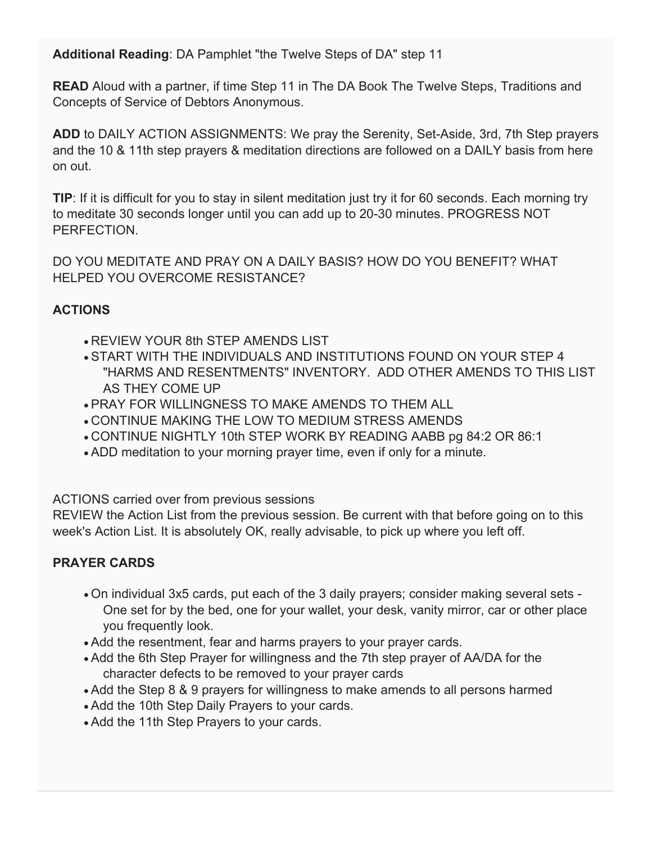**Additional Reading**: DA Pamphlet "the Twelve Steps of DA" step 11

**READ** Aloud with a partner, if time Step 11 in The DA Book The Twelve Steps, Traditions and Concepts of Service of Debtors Anonymous.

**ADD** to DAILY ACTION ASSIGNMENTS: We pray the Serenity, Set-Aside, 3rd, 7th Step prayers and the 10 & 11th step prayers & meditation directions are followed on a DAILY basis from here on out.

**TIP**: If it is difficult for you to stay in silent meditation just try it for 60 seconds. Each morning try to meditate 30 seconds longer until you can add up to 20-30 minutes. PROGRESS NOT PERFECTION.

DO YOU MEDITATE AND PRAY ON A DAILY BASIS? HOW DO YOU BENEFIT? WHAT HELPED YOU OVERCOME RESISTANCE?

#### **ACTIONS**

- REVIEW YOUR 8th STEP AMENDS LIST
- START WITH THE INDIVIDUALS AND INSTITUTIONS FOUND ON YOUR STEP 4 "HARMS AND RESENTMENTS" INVENTORY. ADD OTHER AMENDS TO THIS LIST AS THEY COME UP
- PRAY FOR WILLINGNESS TO MAKE AMENDS TO THEM ALL
- CONTINUE MAKING THE LOW TO MEDIUM STRESS AMENDS
- CONTINUE NIGHTLY 10th STEP WORK BY READING AABB pg 84:2 OR 86:1
- ADD meditation to your morning prayer time, even if only for a minute.

ACTIONS carried over from previous sessions

REVIEW the Action List from the previous session. Be current with that before going on to this week's Action List. It is absolutely OK, really advisable, to pick up where you left off.

#### **PRAYER CARDS**

- On individual 3x5 cards, put each of the 3 daily prayers; consider making several sets One set for by the bed, one for your wallet, your desk, vanity mirror, car or other place you frequently look.
- Add the resentment, fear and harms prayers to your prayer cards.
- Add the 6th Step Prayer for willingness and the 7th step prayer of AA/DA for the character defects to be removed to your prayer cards
- Add the Step 8 & 9 prayers for willingness to make amends to all persons harmed
- Add the 10th Step Daily Prayers to your cards.
- Add the 11th Step Prayers to your cards.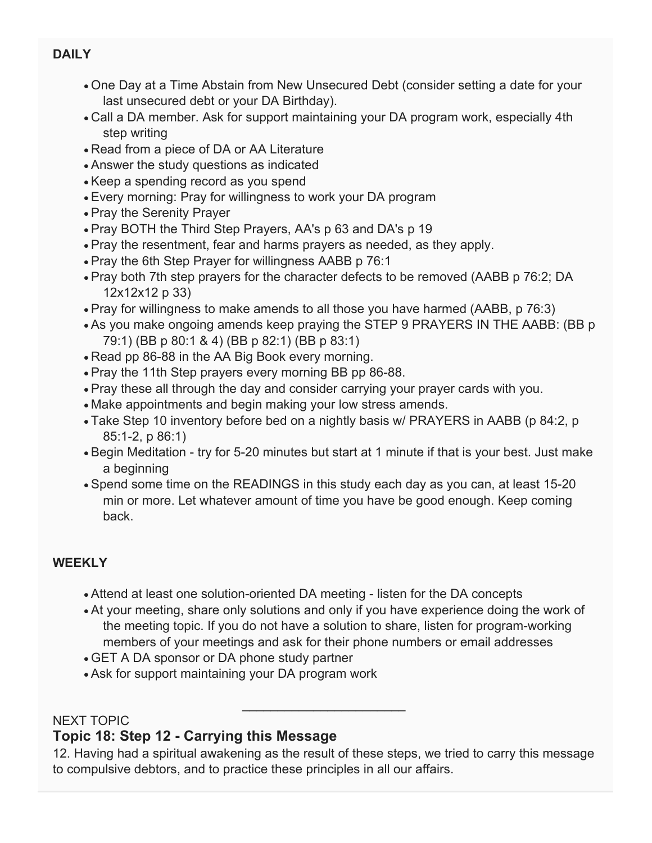#### **DAILY**

- One Day at a Time Abstain from New Unsecured Debt (consider setting a date for your last unsecured debt or your DA Birthday).
- Call a DA member. Ask for support maintaining your DA program work, especially 4th step writing
- Read from a piece of DA or AA Literature
- Answer the study questions as indicated
- Keep a spending record as you spend
- Every morning: Pray for willingness to work your DA program
- Pray the Serenity Prayer
- Pray BOTH the Third Step Prayers, AA's p 63 and DA's p 19
- Pray the resentment, fear and harms prayers as needed, as they apply.
- Pray the 6th Step Prayer for willingness AABB p 76:1
- Pray both 7th step prayers for the character defects to be removed (AABB p 76:2; DA 12x12x12 p 33)
- Pray for willingness to make amends to all those you have harmed (AABB, p 76:3)
- As you make ongoing amends keep praying the STEP 9 PRAYERS IN THE AABB: (BB p 79:1) (BB p 80:1 & 4) (BB p 82:1) (BB p 83:1)
- Read pp 86-88 in the AA Big Book every morning.
- Pray the 11th Step prayers every morning BB pp 86-88.
- Pray these all through the day and consider carrying your prayer cards with you.
- Make appointments and begin making your low stress amends.
- Take Step 10 inventory before bed on a nightly basis w/ PRAYERS in AABB (p 84:2, p 85:1-2, p 86:1)
- Begin Meditation try for 5-20 minutes but start at 1 minute if that is your best. Just make a beginning
- Spend some time on the READINGS in this study each day as you can, at least 15-20 min or more. Let whatever amount of time you have be good enough. Keep coming back.

#### **WEEKLY**

- Attend at least one solution-oriented DA meeting listen for the DA concepts
- At your meeting, share only solutions and only if you have experience doing the work of the meeting topic. If you do not have a solution to share, listen for program-working members of your meetings and ask for their phone numbers or email addresses
- GET A DA sponsor or DA phone study partner
- Ask for support maintaining your DA program work

#### NEXT TOPIC

#### **Topic 18: Step 12 - Carrying this Message**

12. Having had a spiritual awakening as the result of these steps, we tried to carry this message to compulsive debtors, and to practice these principles in all our affairs.

\_\_\_\_\_\_\_\_\_\_\_\_\_\_\_\_\_\_\_\_\_\_\_